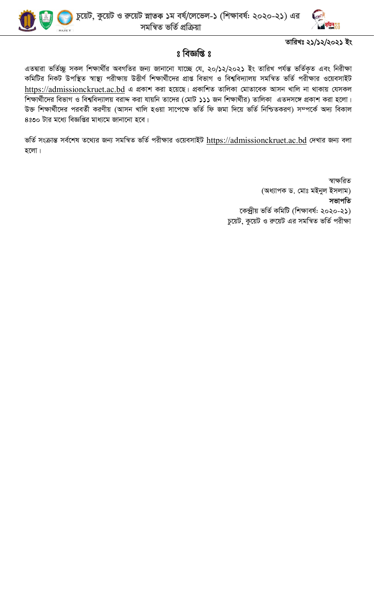



## তারিখঃ ২১/১২/২০২১ ইং

## $s$  বিজ্ঞপ্তি  $s$

এতদ্বারা ভর্তিচ্ছু সকল শিক্ষার্থীর অবগতির জন্য জানানো যাচ্ছে যে, ২০/১২/২০২১ ইং তারিখ পর্যন্ত ভর্তিকৃত এবং নিরীক্ষা কমিটির নিকট উপস্থিত স্বাস্থ্য পরীক্ষায় উত্তীর্ণ শিক্ষার্থীদের প্রাপ্ত বিভাগ ও বিশ্ববিদ্যালয় সমন্বিত ভর্তি পরীক্ষার ওয়েবসাইট https://admissionckruet.ac.bd এ প্রকাশ করা হয়েছে। প্রকাশিত তালিকা মোতাবেক আসন খালি না থাকায় যেসকল শিক্ষার্থীদের বিভাগ ও বিশ্ববিদ্যালয় বরাদ্দ করা যায়নি তাদের (মোট ১১১ জন শিক্ষার্থীর) তালিকা এতদসঙ্গে প্রকাশ করা হলো। উক্ত শিক্ষার্থীদের পরবর্তী করণীয় (আসন খালি হওয়া সাপেক্ষে ভর্তি ফি জমা দিয়ে ভর্তি নিশ্চিতকরণ) সম্পর্কে অদ্য বিকাল ৪ঃ৩০ টার মধ্যে বিজ্ঞপ্তির মাধ্যমে জানানো হবে।

ভর্তি সংক্রান্ত সর্বশেষ তথ্যের জন্য সমন্বিত ভর্তি পরীক্ষার ওয়েবসাইট https://admissionckruet.ac.bd দেখার জন্য বলা হলো।

> স্বাক্ষরিত (অধ্যাপক ড. মোঃ মইনুল ইসলাম) সভাপতি কেন্দ্ৰীয় ভৰ্তি কমিটি (শিক্ষাবৰ্ষ: ২০২০-২১) চুয়েট, কুয়েট ও রুয়েট এর সমন্বিত ভর্তি পরীক্ষা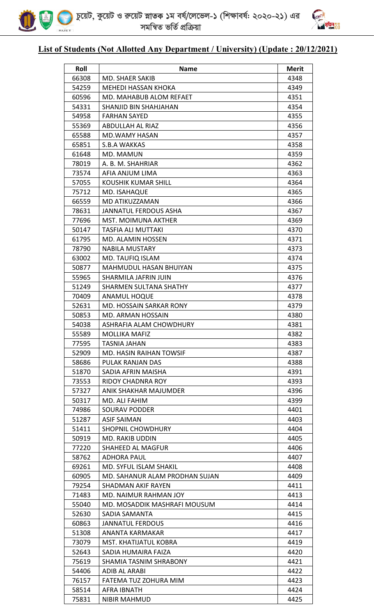



## **List of Students (Not Allotted Any Department / University) (Update : 20/12/2021)**

| Roll  | <b>Name</b>                    | <b>Merit</b> |
|-------|--------------------------------|--------------|
| 66308 | MD. SHAER SAKIB                | 4348         |
| 54259 | <b>MEHEDI HASSAN KHOKA</b>     | 4349         |
| 60596 | MD. MAHABUB ALOM REFAET        | 4351         |
| 54331 | SHANJID BIN SHAHJAHAN          | 4354         |
| 54958 | <b>FARHAN SAYED</b>            | 4355         |
| 55369 | <b>ABDULLAH AL RIAZ</b>        | 4356         |
| 65588 | <b>MD.WAMY HASAN</b>           | 4357         |
| 65851 | <b>S.B.A WAKKAS</b>            | 4358         |
| 61648 | MD. MAMUN                      | 4359         |
| 78019 | A. B. M. SHAHRIAR              | 4362         |
| 73574 | AFIA ANJUM LIMA                | 4363         |
| 57055 | KOUSHIK KUMAR SHILL            | 4364         |
| 75712 | MD. ISAHAQUE                   | 4365         |
| 66559 | MD ATIKUZZAMAN                 | 4366         |
| 78631 | JANNATUL FERDOUS ASHA          | 4367         |
| 77696 | <b>MST. MOIMUNA AKTHER</b>     | 4369         |
| 50147 | <b>TASFIA ALI MUTTAKI</b>      | 4370         |
| 61795 | MD. ALAMIN HOSSEN              | 4371         |
| 78790 | <b>NABILA MUSTARY</b>          | 4373         |
| 63002 | MD. TAUFIQ ISLAM               | 4374         |
| 50877 | MAHMUDUL HASAN BHUIYAN         | 4375         |
| 55965 | SHARMILA JAFRIN JUIN           | 4376         |
| 51249 | <b>SHARMEN SULTANA SHATHY</b>  | 4377         |
| 70409 | <b>ANAMUL HOQUE</b>            | 4378         |
| 52631 | <b>MD. HOSSAIN SARKAR RONY</b> | 4379         |
| 50853 | MD. ARMAN HOSSAIN              | 4380         |
| 54038 | ASHRAFIA ALAM CHOWDHURY        | 4381         |
| 55589 | <b>MOLLIKA MAFIZ</b>           | 4382         |
| 77595 | TASNIA JAHAN                   | 4383         |
| 52909 | MD. HASIN RAIHAN TOWSIF        | 4387         |
| 58686 | PULAK RANJAN DAS               | 4388         |
| 51870 | SADIA AFRIN MAISHA             | 4391         |
| 73553 | RIDOY CHADNRA ROY              | 4393         |
| 57327 | ANIK SHAKHAR MAJUMDER          | 4396         |
| 50317 | MD. ALI FAHIM                  | 4399         |
| 74986 | SOURAV PODDER                  | 4401         |
| 51287 | <b>ASIF SAIMAN</b>             | 4403         |
| 51411 | <b>SHOPNIL CHOWDHURY</b>       | 4404         |
| 50919 | MD. RAKIB UDDIN                | 4405         |
| 77220 | <b>SHAHEED AL MAGFUR</b>       | 4406         |
| 58762 | ADHORA PAUL                    | 4407         |
| 69261 | <b>MD. SYFUL ISLAM SHAKIL</b>  | 4408         |
| 60905 | MD. SAHANUR ALAM PRODHAN SUJAN | 4409         |
| 79254 | <b>SHADMAN AKIF RAYEN</b>      | 4411         |
| 71483 | MD. NAIMUR RAHMAN JOY          | 4413         |
| 55040 | MD. MOSADDIK MASHRAFI MOUSUM   | 4414         |
| 52630 | SADIA SAMANTA                  | 4415         |
| 60863 | <b>JANNATUL FERDOUS</b>        | 4416         |
| 51308 | ANANTA KARMAKAR                | 4417         |
| 73079 | MST. KHATIJATUL KOBRA          | 4419         |
| 52643 | SADIA HUMAIRA FAIZA            | 4420         |
| 75619 | SHAMIA TASNIM SHRABONY         | 4421         |
| 54406 | <b>ADIB AL ARABI</b>           | 4422         |
| 76157 | FATEMA TUZ ZOHURA MIM          | 4423         |
| 58514 | <b>AFRA IBNATH</b>             | 4424         |
| 75831 | <b>NIBIR MAHMUD</b>            | 4425         |